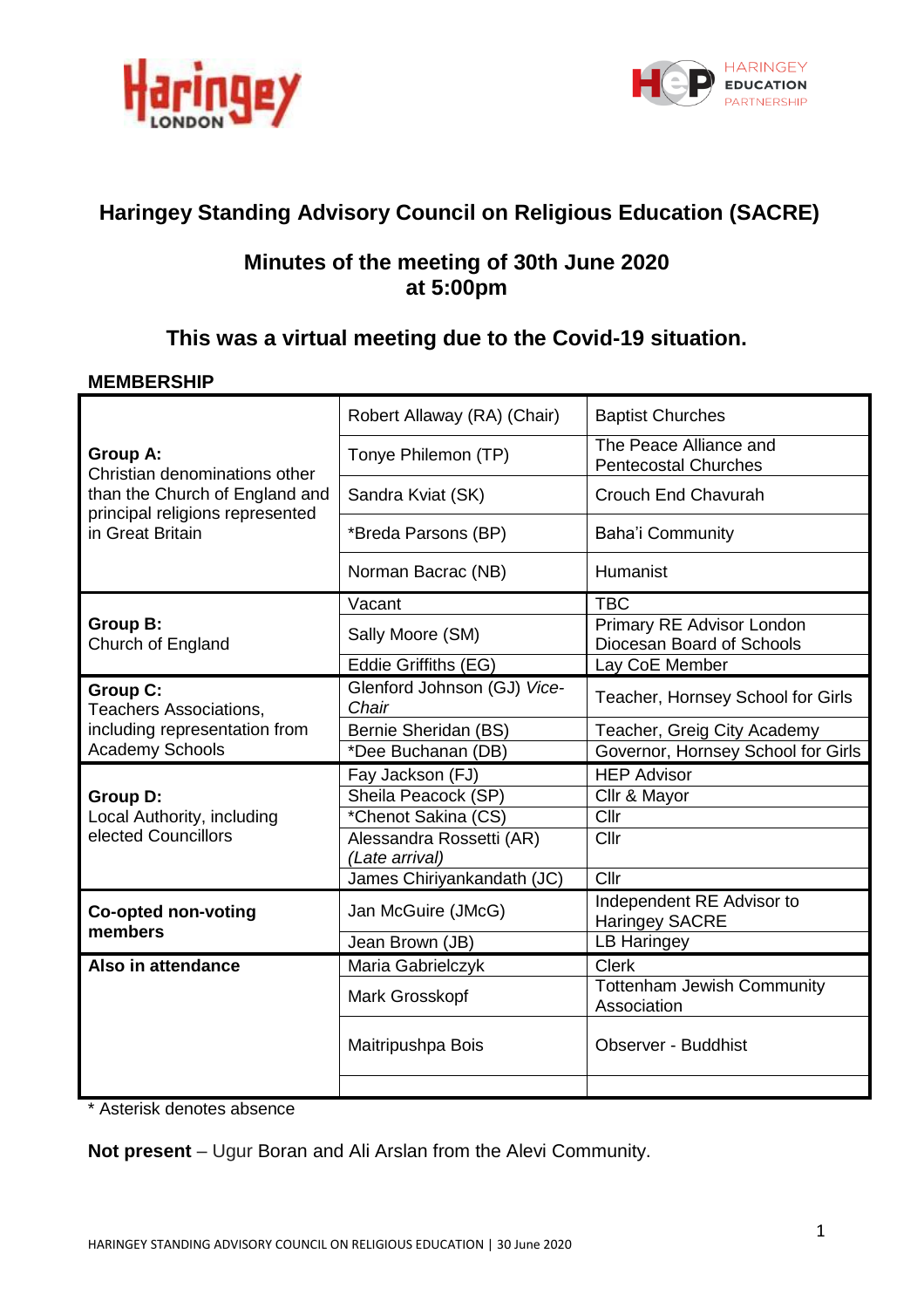



# **Haringey Standing Advisory Council on Religious Education (SACRE)**

# **Minutes of the meeting of 30th June 2020 at 5:00pm**

# **This was a virtual meeting due to the Covid-19 situation.**

# **MEMBERSHIP**

|                                                                                                                                           | Robert Allaway (RA) (Chair)                | <b>Baptist Churches</b>                                |
|-------------------------------------------------------------------------------------------------------------------------------------------|--------------------------------------------|--------------------------------------------------------|
| <b>Group A:</b><br>Christian denominations other<br>than the Church of England and<br>principal religions represented<br>in Great Britain | Tonye Philemon (TP)                        | The Peace Alliance and<br><b>Pentecostal Churches</b>  |
|                                                                                                                                           | Sandra Kviat (SK)                          | Crouch End Chavurah                                    |
|                                                                                                                                           | *Breda Parsons (BP)                        | <b>Baha'i Community</b>                                |
|                                                                                                                                           | Norman Bacrac (NB)                         | Humanist                                               |
| <b>Group B:</b><br>Church of England                                                                                                      | Vacant                                     | <b>TBC</b>                                             |
|                                                                                                                                           | Sally Moore (SM)                           | Primary RE Advisor London<br>Diocesan Board of Schools |
|                                                                                                                                           | Eddie Griffiths (EG)                       | Lay CoE Member                                         |
| <b>Group C:</b><br><b>Teachers Associations,</b><br>including representation from                                                         | Glenford Johnson (GJ) Vice-<br>Chair       | Teacher, Hornsey School for Girls                      |
|                                                                                                                                           | Bernie Sheridan (BS)                       | Teacher, Greig City Academy                            |
| <b>Academy Schools</b>                                                                                                                    | *Dee Buchanan (DB)                         | Governor, Hornsey School for Girls                     |
|                                                                                                                                           | Fay Jackson (FJ)                           | <b>HEP Advisor</b>                                     |
| <b>Group D:</b>                                                                                                                           | Sheila Peacock (SP)                        | Cllr & Mayor                                           |
| Local Authority, including<br>elected Councillors                                                                                         | *Chenot Sakina (CS)                        | Cllr                                                   |
|                                                                                                                                           | Alessandra Rossetti (AR)<br>(Late arrival) | Cllr                                                   |
|                                                                                                                                           | James Chiriyankandath (JC)                 | Cllr                                                   |
| <b>Co-opted non-voting</b><br>members                                                                                                     | Jan McGuire (JMcG)                         | Independent RE Advisor to<br><b>Haringey SACRE</b>     |
|                                                                                                                                           | Jean Brown (JB)                            | <b>LB Haringey</b>                                     |
| Also in attendance                                                                                                                        | Maria Gabrielczyk                          | <b>Clerk</b>                                           |
|                                                                                                                                           | Mark Grosskopf                             | <b>Tottenham Jewish Community</b><br>Association       |
|                                                                                                                                           | Maitripushpa Bois                          | <b>Observer - Buddhist</b>                             |
|                                                                                                                                           |                                            |                                                        |

\* Asterisk denotes absence

**Not present** – Ugur Boran and Ali Arslan from the Alevi Community.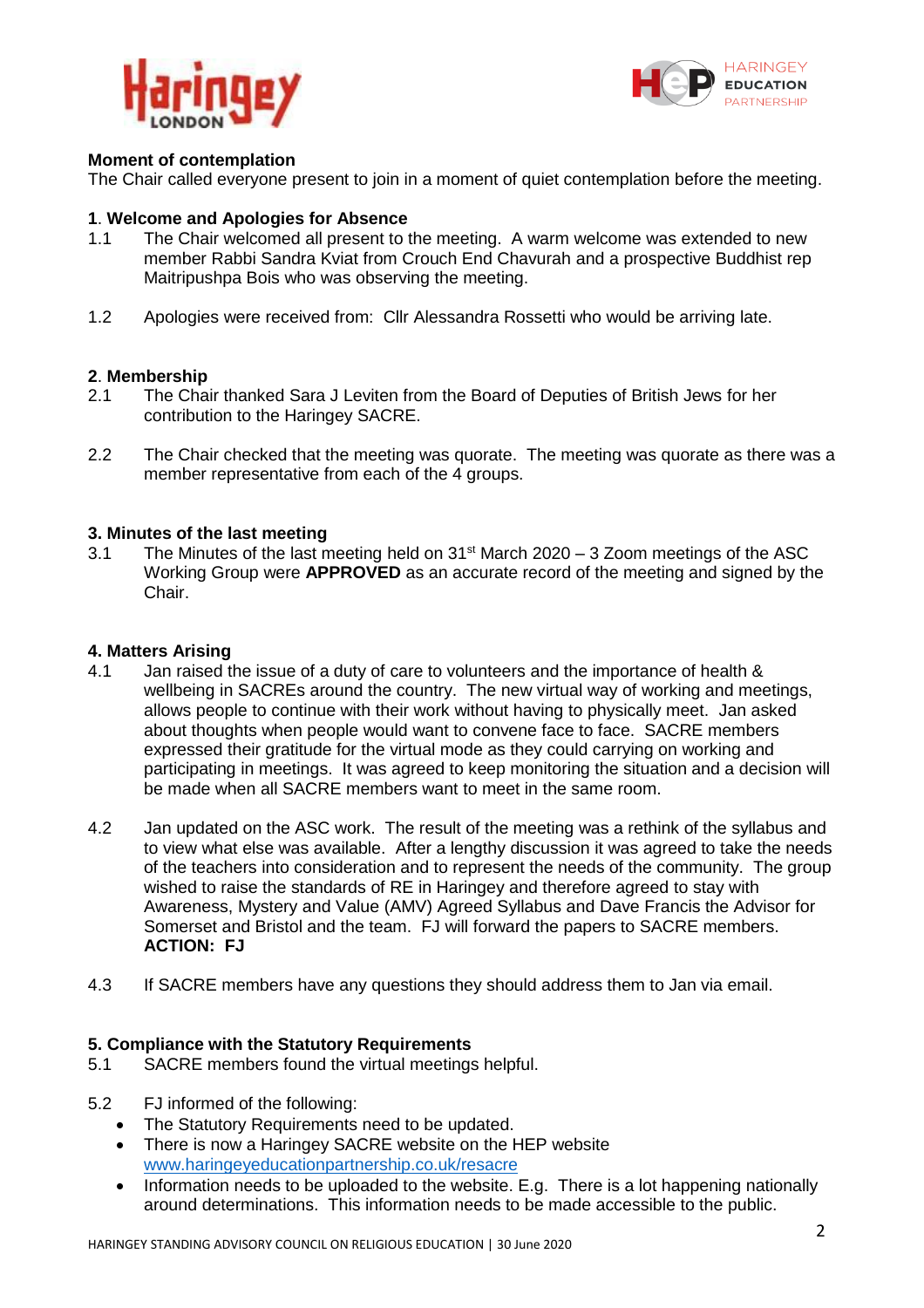



# **Moment of contemplation**

The Chair called everyone present to join in a moment of quiet contemplation before the meeting.

## **1**. **Welcome and Apologies for Absence**

- 1.1 The Chair welcomed all present to the meeting. A warm welcome was extended to new member Rabbi Sandra Kviat from Crouch End Chavurah and a prospective Buddhist rep Maitripushpa Bois who was observing the meeting.
- 1.2 Apologies were received from: Cllr Alessandra Rossetti who would be arriving late.

## **2**. **Membership**

- 2.1 The Chair thanked Sara J Leviten from the Board of Deputies of British Jews for her contribution to the Haringey SACRE.
- 2.2 The Chair checked that the meeting was quorate. The meeting was quorate as there was a member representative from each of the 4 groups.

## **3. Minutes of the last meeting**

3.1 The Minutes of the last meeting held on  $31<sup>st</sup>$  March 2020 – 3 Zoom meetings of the ASC Working Group were **APPROVED** as an accurate record of the meeting and signed by the Chair.

## **4. Matters Arising**

- 4.1 Jan raised the issue of a duty of care to volunteers and the importance of health & wellbeing in SACREs around the country. The new virtual way of working and meetings, allows people to continue with their work without having to physically meet. Jan asked about thoughts when people would want to convene face to face. SACRE members expressed their gratitude for the virtual mode as they could carrying on working and participating in meetings. It was agreed to keep monitoring the situation and a decision will be made when all SACRE members want to meet in the same room.
- 4.2 Jan updated on the ASC work. The result of the meeting was a rethink of the syllabus and to view what else was available. After a lengthy discussion it was agreed to take the needs of the teachers into consideration and to represent the needs of the community. The group wished to raise the standards of RE in Haringey and therefore agreed to stay with Awareness, Mystery and Value (AMV) Agreed Syllabus and Dave Francis the Advisor for Somerset and Bristol and the team. FJ will forward the papers to SACRE members. **ACTION: FJ**
- 4.3 If SACRE members have any questions they should address them to Jan via email.

#### **5. Compliance with the Statutory Requirements**

- 5.1 SACRE members found the virtual meetings helpful.
- 5.2 FJ informed of the following:
	- The Statutory Requirements need to be updated.
	- There is now a Haringey SACRE website on the HEP website [www.haringeyeducationpartnership.co.uk/resacre](http://www.haringeyeducationpartnership.co.uk/resacre)
	- Information needs to be uploaded to the website. E.g. There is a lot happening nationally around determinations. This information needs to be made accessible to the public.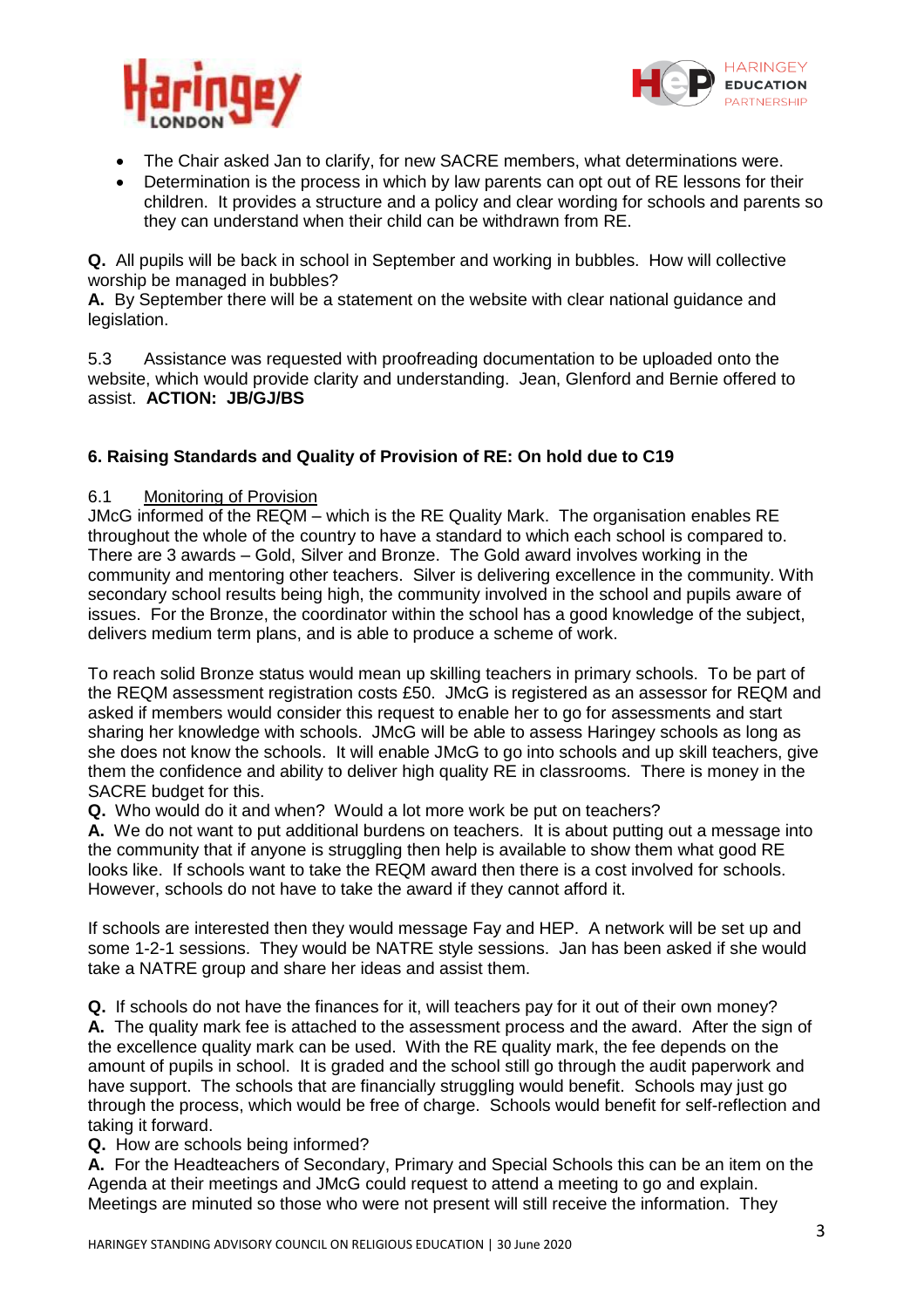



- The Chair asked Jan to clarify, for new SACRE members, what determinations were.<br>• Determination is the process in which by law parents can ont out of RF lessons for the
- Determination is the process in which by law parents can opt out of RE lessons for their children. It provides a structure and a policy and clear wording for schools and parents so they can understand when their child can be withdrawn from RE.

**Q.** All pupils will be back in school in September and working in bubbles. How will collective worship be managed in bubbles?

**A.** By September there will be a statement on the website with clear national guidance and legislation.

5.3 Assistance was requested with proofreading documentation to be uploaded onto the website, which would provide clarity and understanding. Jean, Glenford and Bernie offered to assist. **ACTION: JB/GJ/BS**

# **6. Raising Standards and Quality of Provision of RE: On hold due to C19**

# 6.1 Monitoring of Provision

JMcG informed of the REQM – which is the RE Quality Mark. The organisation enables RE throughout the whole of the country to have a standard to which each school is compared to. There are 3 awards – Gold, Silver and Bronze. The Gold award involves working in the community and mentoring other teachers. Silver is delivering excellence in the community. With secondary school results being high, the community involved in the school and pupils aware of issues. For the Bronze, the coordinator within the school has a good knowledge of the subject, delivers medium term plans, and is able to produce a scheme of work.

To reach solid Bronze status would mean up skilling teachers in primary schools. To be part of the REQM assessment registration costs £50. JMcG is registered as an assessor for REQM and asked if members would consider this request to enable her to go for assessments and start sharing her knowledge with schools. JMcG will be able to assess Haringey schools as long as she does not know the schools. It will enable JMcG to go into schools and up skill teachers, give them the confidence and ability to deliver high quality RE in classrooms. There is money in the SACRE budget for this.

**Q.** Who would do it and when? Would a lot more work be put on teachers?

**A.** We do not want to put additional burdens on teachers. It is about putting out a message into the community that if anyone is struggling then help is available to show them what good RE looks like. If schools want to take the REQM award then there is a cost involved for schools. However, schools do not have to take the award if they cannot afford it.

If schools are interested then they would message Fay and HEP. A network will be set up and some 1-2-1 sessions. They would be NATRE style sessions. Jan has been asked if she would take a NATRE group and share her ideas and assist them.

**Q.** If schools do not have the finances for it, will teachers pay for it out of their own money? **A.** The quality mark fee is attached to the assessment process and the award. After the sign of the excellence quality mark can be used. With the RE quality mark, the fee depends on the amount of pupils in school. It is graded and the school still go through the audit paperwork and have support. The schools that are financially struggling would benefit. Schools may just go through the process, which would be free of charge. Schools would benefit for self-reflection and taking it forward.

**Q.** How are schools being informed?

**A.** For the Headteachers of Secondary, Primary and Special Schools this can be an item on the Agenda at their meetings and JMcG could request to attend a meeting to go and explain. Meetings are minuted so those who were not present will still receive the information. They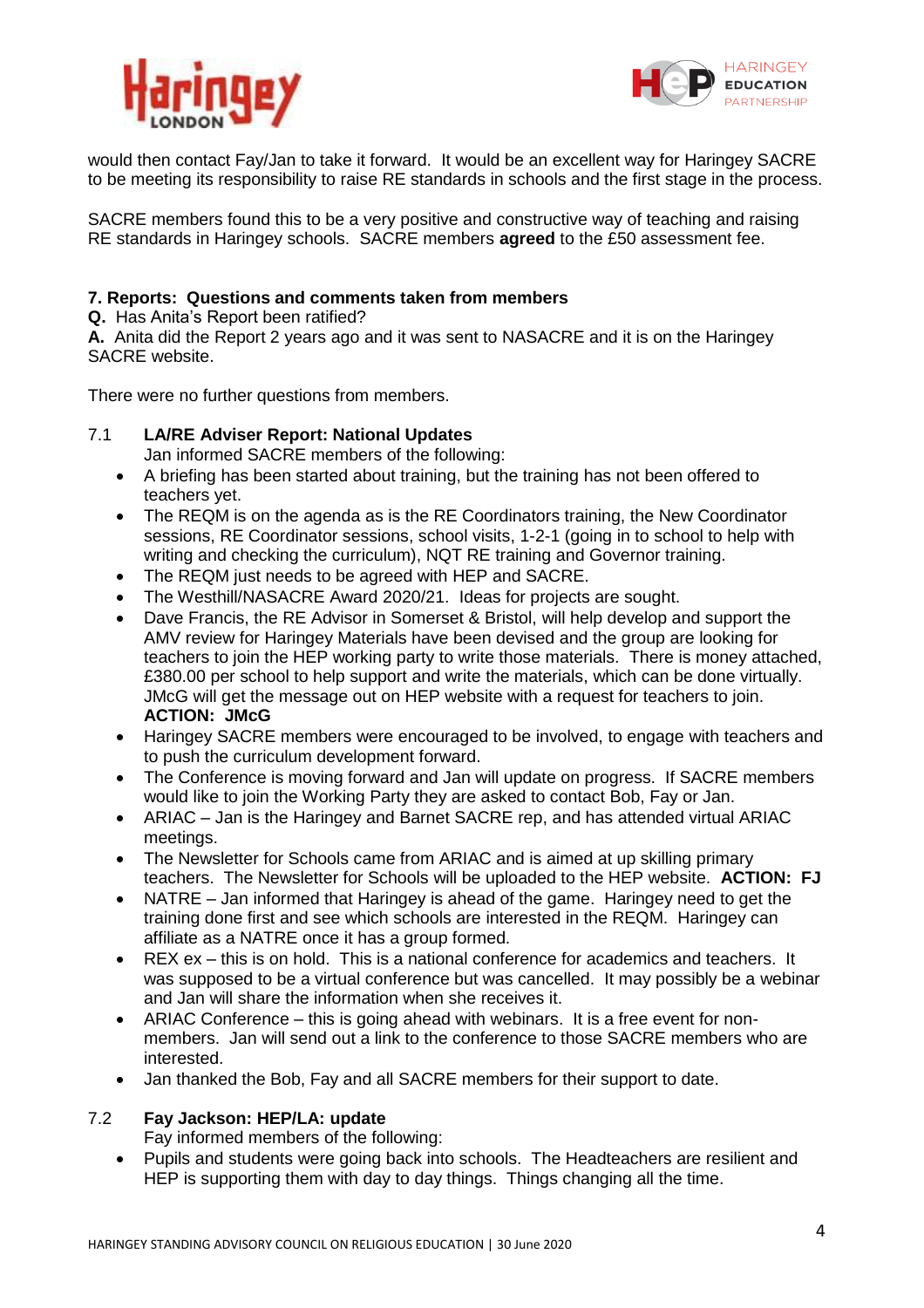



would then contact Fay/Jan to take it forward. It would be an excellent way for Haringey SACRE to be meeting its responsibility to raise RE standards in schools and the first stage in the process.

SACRE members found this to be a very positive and constructive way of teaching and raising RE standards in Haringey schools. SACRE members **agreed** to the £50 assessment fee.

# **7. Reports: Questions and comments taken from members**

**Q.** Has Anita's Report been ratified?

**A.** Anita did the Report 2 years ago and it was sent to NASACRE and it is on the Haringey SACRE website.

There were no further questions from members.

# 7.1 **LA/RE Adviser Report: National Updates**

- Jan informed SACRE members of the following:
- A briefing has been started about training, but the training has not been offered to teachers yet.
- The REQM is on the agenda as is the RE Coordinators training, the New Coordinator sessions, RE Coordinator sessions, school visits, 1-2-1 (going in to school to help with writing and checking the curriculum), NQT RE training and Governor training.
- The REQM just needs to be agreed with HEP and SACRE.
- The Westhill/NASACRE Award 2020/21. Ideas for projects are sought.
- Dave Francis, the RE Advisor in Somerset & Bristol, will help develop and support the AMV review for Haringey Materials have been devised and the group are looking for teachers to join the HEP working party to write those materials. There is money attached, £380.00 per school to help support and write the materials, which can be done virtually. JMcG will get the message out on HEP website with a request for teachers to join. **ACTION: JMcG**
- Haringey SACRE members were encouraged to be involved, to engage with teachers and to push the curriculum development forward.
- The Conference is moving forward and Jan will update on progress. If SACRE members would like to join the Working Party they are asked to contact Bob, Fay or Jan.
- ARIAC Jan is the Haringey and Barnet SACRE rep, and has attended virtual ARIAC meetings.
- The Newsletter for Schools came from ARIAC and is aimed at up skilling primary teachers. The Newsletter for Schools will be uploaded to the HEP website. **ACTION: FJ**
- NATRE Jan informed that Haringey is ahead of the game. Haringey need to get the training done first and see which schools are interested in the REQM. Haringey can affiliate as a NATRE once it has a group formed.
- REX ex this is on hold. This is a national conference for academics and teachers. It was supposed to be a virtual conference but was cancelled. It may possibly be a webinar and Jan will share the information when she receives it.
- ARIAC Conference this is going ahead with webinars. It is a free event for nonmembers. Jan will send out a link to the conference to those SACRE members who are interested.
- Jan thanked the Bob, Fay and all SACRE members for their support to date.

# 7.2 **Fay Jackson: HEP/LA: update**

Fay informed members of the following:

 Pupils and students were going back into schools. The Headteachers are resilient and HEP is supporting them with day to day things. Things changing all the time.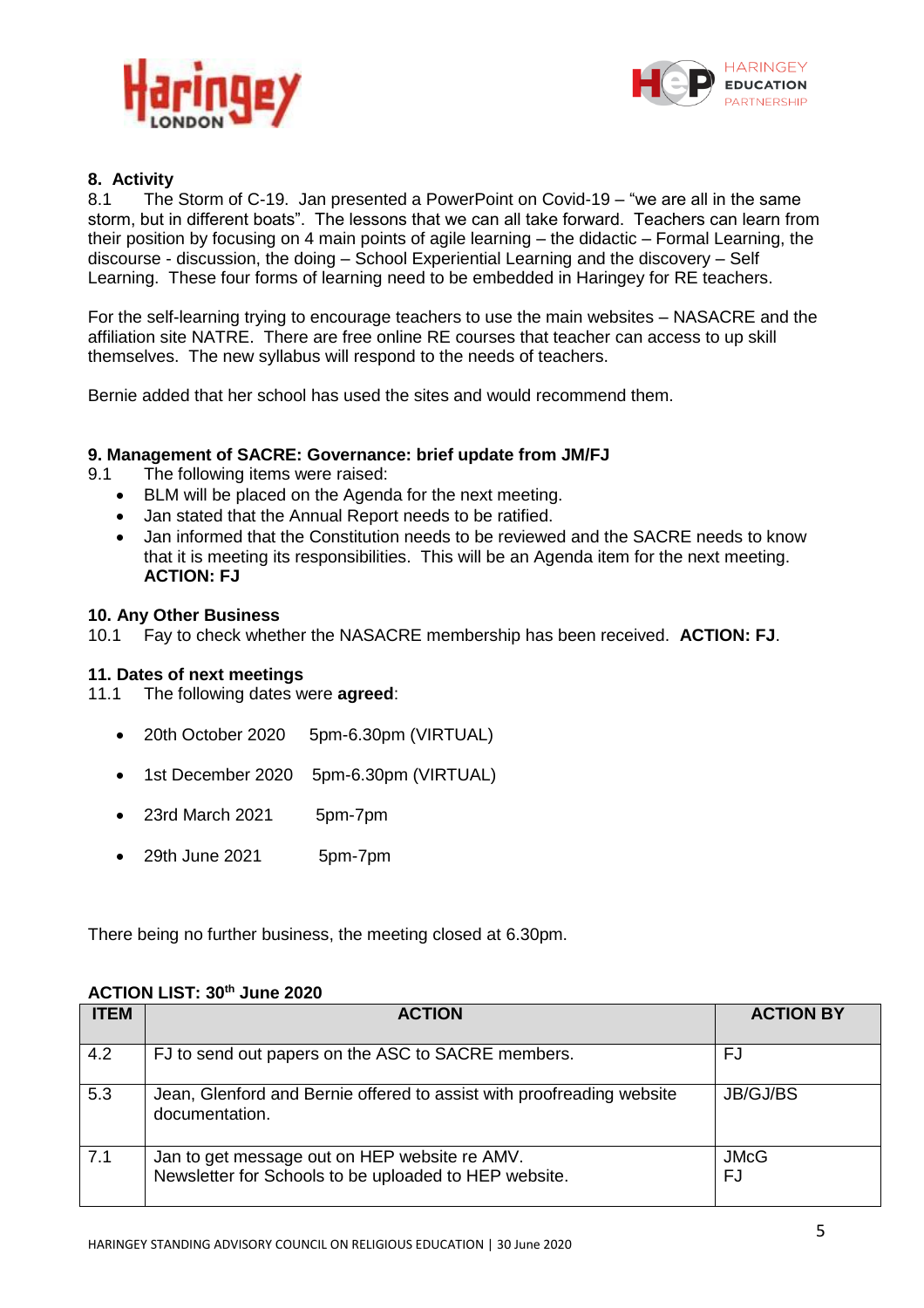



# **8. Activity**

The Storm of C-19. Jan presented a PowerPoint on Covid-19 – "we are all in the same storm, but in different boats". The lessons that we can all take forward. Teachers can learn from their position by focusing on 4 main points of agile learning – the didactic – Formal Learning, the discourse - discussion, the doing – School Experiential Learning and the discovery – Self Learning. These four forms of learning need to be embedded in Haringey for RE teachers.

For the self-learning trying to encourage teachers to use the main websites – NASACRE and the affiliation site NATRE. There are free online RE courses that teacher can access to up skill themselves. The new syllabus will respond to the needs of teachers.

Bernie added that her school has used the sites and would recommend them.

## **9. Management of SACRE: Governance: brief update from JM/FJ**

- 9.1 The following items were raised:
	- BLM will be placed on the Agenda for the next meeting.
	- Jan stated that the Annual Report needs to be ratified.
	- Jan informed that the Constitution needs to be reviewed and the SACRE needs to know that it is meeting its responsibilities. This will be an Agenda item for the next meeting. **ACTION: FJ**

## **10. Any Other Business**

10.1 Fay to check whether the NASACRE membership has been received. **ACTION: FJ**.

#### **11. Dates of next meetings**

- 11.1 The following dates were **agreed**:
	- 20th October 2020 5pm-6.30pm (VIRTUAL)
	- 1st December 2020 5pm-6.30pm (VIRTUAL)
	- 23rd March 2021 5pm-7pm
	- 29th June 2021 5pm-7pm

There being no further business, the meeting closed at 6.30pm.

#### **ACTION LIST: 30 th June 2020**

| <b>ITEM</b> | <b>ACTION</b>                                                                                          | <b>ACTION BY</b>  |
|-------------|--------------------------------------------------------------------------------------------------------|-------------------|
| 4.2         | FJ to send out papers on the ASC to SACRE members.                                                     | FJ                |
| 5.3         | Jean, Glenford and Bernie offered to assist with proofreading website<br>documentation.                | JB/GJ/BS          |
| 7.1         | Jan to get message out on HEP website re AMV.<br>Newsletter for Schools to be uploaded to HEP website. | <b>JMcG</b><br>FJ |